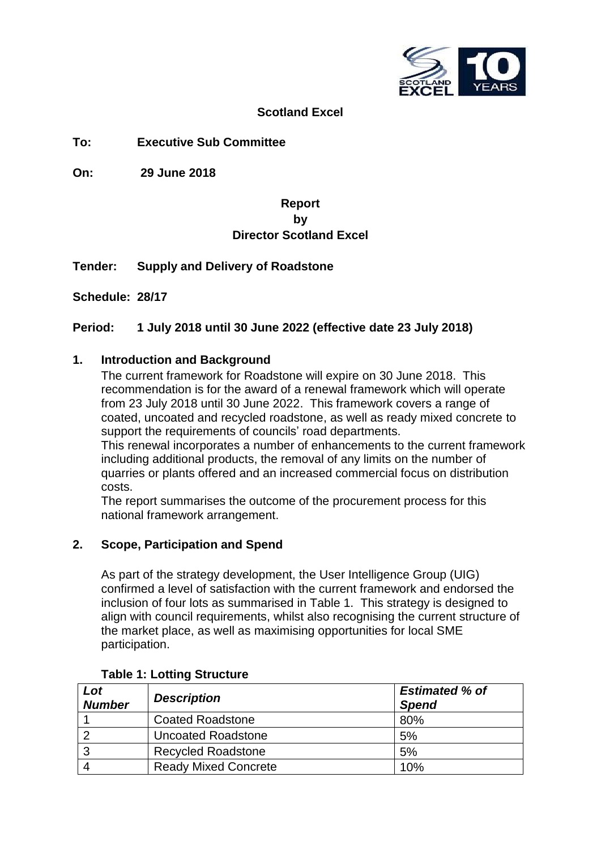

## **Scotland Excel**

## **To: Executive Sub Committee**

**On: 29 June 2018**

## **Report by Director Scotland Excel**

**Tender: Supply and Delivery of Roadstone**

**Schedule: 28/17**

## **Period: 1 July 2018 until 30 June 2022 (effective date 23 July 2018)**

#### **1. Introduction and Background**

The current framework for Roadstone will expire on 30 June 2018. This recommendation is for the award of a renewal framework which will operate from 23 July 2018 until 30 June 2022. This framework covers a range of coated, uncoated and recycled roadstone, as well as ready mixed concrete to support the requirements of councils' road departments.

This renewal incorporates a number of enhancements to the current framework including additional products, the removal of any limits on the number of quarries or plants offered and an increased commercial focus on distribution costs.

The report summarises the outcome of the procurement process for this national framework arrangement.

## **2. Scope, Participation and Spend**

As part of the strategy development, the User Intelligence Group (UIG) confirmed a level of satisfaction with the current framework and endorsed the inclusion of four lots as summarised in Table 1. This strategy is designed to align with council requirements, whilst also recognising the current structure of the market place, as well as maximising opportunities for local SME participation.

| Lot<br><b>Number</b> | <b>Description</b>          | <b>Estimated % of</b><br><b>Spend</b> |  |
|----------------------|-----------------------------|---------------------------------------|--|
|                      | <b>Coated Roadstone</b>     | 80%                                   |  |
|                      | <b>Uncoated Roadstone</b>   | 5%                                    |  |
| 3                    | <b>Recycled Roadstone</b>   | 5%                                    |  |
|                      | <b>Ready Mixed Concrete</b> | 10%                                   |  |

#### **Table 1: Lotting Structure**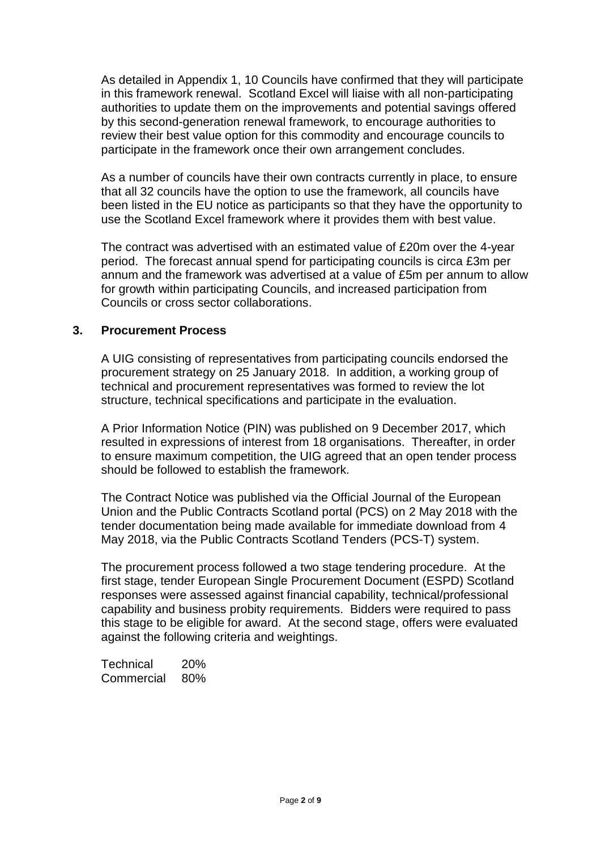As detailed in Appendix 1, 10 Councils have confirmed that they will participate in this framework renewal. Scotland Excel will liaise with all non-participating authorities to update them on the improvements and potential savings offered by this second-generation renewal framework, to encourage authorities to review their best value option for this commodity and encourage councils to participate in the framework once their own arrangement concludes.

As a number of councils have their own contracts currently in place, to ensure that all 32 councils have the option to use the framework, all councils have been listed in the EU notice as participants so that they have the opportunity to use the Scotland Excel framework where it provides them with best value.

The contract was advertised with an estimated value of £20m over the 4-year period. The forecast annual spend for participating councils is circa £3m per annum and the framework was advertised at a value of £5m per annum to allow for growth within participating Councils, and increased participation from Councils or cross sector collaborations.

## **3. Procurement Process**

A UIG consisting of representatives from participating councils endorsed the procurement strategy on 25 January 2018. In addition, a working group of technical and procurement representatives was formed to review the lot structure, technical specifications and participate in the evaluation.

A Prior Information Notice (PIN) was published on 9 December 2017, which resulted in expressions of interest from 18 organisations. Thereafter, in order to ensure maximum competition, the UIG agreed that an open tender process should be followed to establish the framework.

The Contract Notice was published via the Official Journal of the European Union and the Public Contracts Scotland portal (PCS) on 2 May 2018 with the tender documentation being made available for immediate download from 4 May 2018, via the Public Contracts Scotland Tenders (PCS-T) system.

The procurement process followed a two stage tendering procedure. At the first stage, tender European Single Procurement Document (ESPD) Scotland responses were assessed against financial capability, technical/professional capability and business probity requirements. Bidders were required to pass this stage to be eligible for award. At the second stage, offers were evaluated against the following criteria and weightings.

Technical 20% Commercial 80%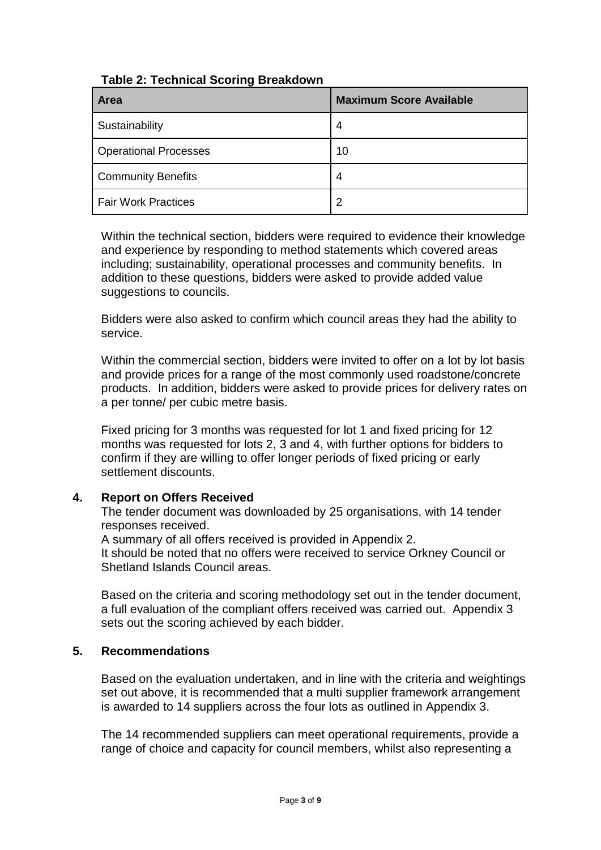| <b>Table 2: Technical Scoring Breakdown</b> |  |
|---------------------------------------------|--|
|---------------------------------------------|--|

| <b>Area</b>                  | <b>Maximum Score Available</b> |
|------------------------------|--------------------------------|
| Sustainability               | 4                              |
| <b>Operational Processes</b> | 10                             |
| <b>Community Benefits</b>    | 4                              |
| <b>Fair Work Practices</b>   | $\overline{2}$                 |

Within the technical section, bidders were required to evidence their knowledge and experience by responding to method statements which covered areas including; sustainability, operational processes and community benefits. In addition to these questions, bidders were asked to provide added value suggestions to councils.

Bidders were also asked to confirm which council areas they had the ability to service.

Within the commercial section, bidders were invited to offer on a lot by lot basis and provide prices for a range of the most commonly used roadstone/concrete products. In addition, bidders were asked to provide prices for delivery rates on a per tonne/ per cubic metre basis.

Fixed pricing for 3 months was requested for lot 1 and fixed pricing for 12 months was requested for lots 2, 3 and 4, with further options for bidders to confirm if they are willing to offer longer periods of fixed pricing or early settlement discounts.

## **4. Report on Offers Received**

The tender document was downloaded by 25 organisations, with 14 tender responses received.

A summary of all offers received is provided in Appendix 2. It should be noted that no offers were received to service Orkney Council or Shetland Islands Council areas.

Based on the criteria and scoring methodology set out in the tender document, a full evaluation of the compliant offers received was carried out. Appendix 3 sets out the scoring achieved by each bidder.

## **5. Recommendations**

Based on the evaluation undertaken, and in line with the criteria and weightings set out above, it is recommended that a multi supplier framework arrangement is awarded to 14 suppliers across the four lots as outlined in Appendix 3.

The 14 recommended suppliers can meet operational requirements, provide a range of choice and capacity for council members, whilst also representing a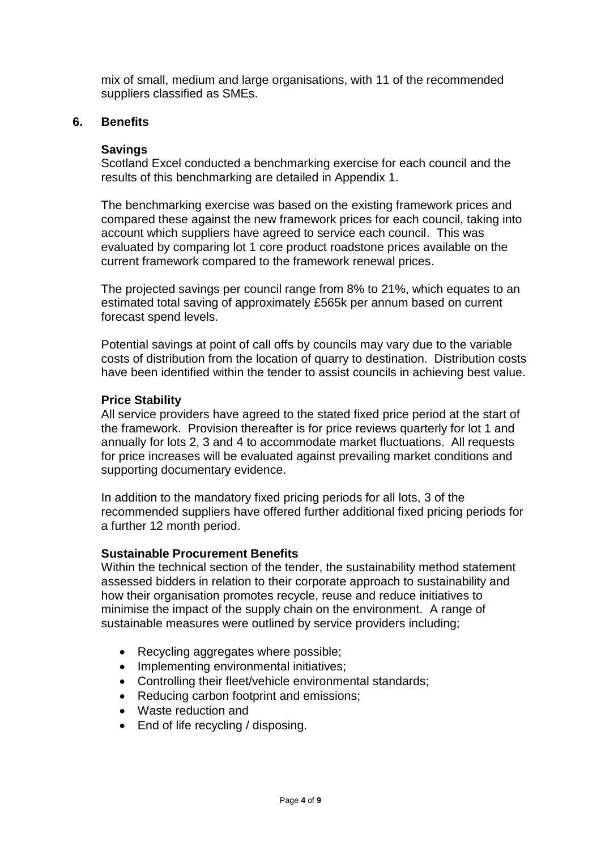mix of small, medium and large organisations, with 11 of the recommended suppliers classified as SMEs.

## **6. Benefits**

## **Savings**

Scotland Excel conducted a benchmarking exercise for each council and the results of this benchmarking are detailed in Appendix 1.

The benchmarking exercise was based on the existing framework prices and compared these against the new framework prices for each council, taking into account which suppliers have agreed to service each council. This was evaluated by comparing lot 1 core product roadstone prices available on the current framework compared to the framework renewal prices.

The projected savings per council range from 8% to 21%, which equates to an estimated total saving of approximately £565k per annum based on current forecast spend levels.

Potential savings at point of call offs by councils may vary due to the variable costs of distribution from the location of quarry to destination. Distribution costs have been identified within the tender to assist councils in achieving best value.

## **Price Stability**

All service providers have agreed to the stated fixed price period at the start of the framework. Provision thereafter is for price reviews quarterly for lot 1 and annually for lots 2, 3 and 4 to accommodate market fluctuations. All requests for price increases will be evaluated against prevailing market conditions and supporting documentary evidence.

In addition to the mandatory fixed pricing periods for all lots, 3 of the recommended suppliers have offered further additional fixed pricing periods for a further 12 month period.

## **Sustainable Procurement Benefits**

Within the technical section of the tender, the sustainability method statement assessed bidders in relation to their corporate approach to sustainability and how their organisation promotes recycle, reuse and reduce initiatives to minimise the impact of the supply chain on the environment. A range of sustainable measures were outlined by service providers including;

- Recycling aggregates where possible;
- Implementing environmental initiatives;
- Controlling their fleet/vehicle environmental standards;
- Reducing carbon footprint and emissions:
- Waste reduction and
- End of life recycling / disposing.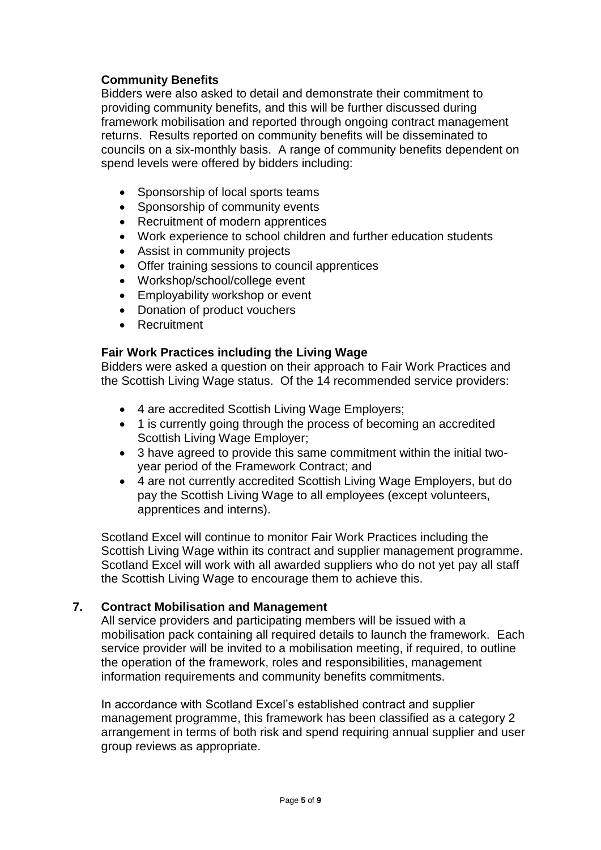## **Community Benefits**

Bidders were also asked to detail and demonstrate their commitment to providing community benefits, and this will be further discussed during framework mobilisation and reported through ongoing contract management returns. Results reported on community benefits will be disseminated to councils on a six-monthly basis. A range of community benefits dependent on spend levels were offered by bidders including:

- Sponsorship of local sports teams
- Sponsorship of community events
- Recruitment of modern apprentices
- Work experience to school children and further education students
- Assist in community projects
- Offer training sessions to council apprentices
- Workshop/school/college event
- Employability workshop or event
- Donation of product vouchers
- Recruitment

## **Fair Work Practices including the Living Wage**

Bidders were asked a question on their approach to Fair Work Practices and the Scottish Living Wage status. Of the 14 recommended service providers:

- 4 are accredited Scottish Living Wage Employers;
- 1 is currently going through the process of becoming an accredited Scottish Living Wage Employer;
- 3 have agreed to provide this same commitment within the initial twoyear period of the Framework Contract; and
- 4 are not currently accredited Scottish Living Wage Employers, but do pay the Scottish Living Wage to all employees (except volunteers, apprentices and interns).

Scotland Excel will continue to monitor Fair Work Practices including the Scottish Living Wage within its contract and supplier management programme. Scotland Excel will work with all awarded suppliers who do not yet pay all staff the Scottish Living Wage to encourage them to achieve this.

## **7. Contract Mobilisation and Management**

All service providers and participating members will be issued with a mobilisation pack containing all required details to launch the framework. Each service provider will be invited to a mobilisation meeting, if required, to outline the operation of the framework, roles and responsibilities, management information requirements and community benefits commitments.

In accordance with Scotland Excel's established contract and supplier management programme, this framework has been classified as a category 2 arrangement in terms of both risk and spend requiring annual supplier and user group reviews as appropriate.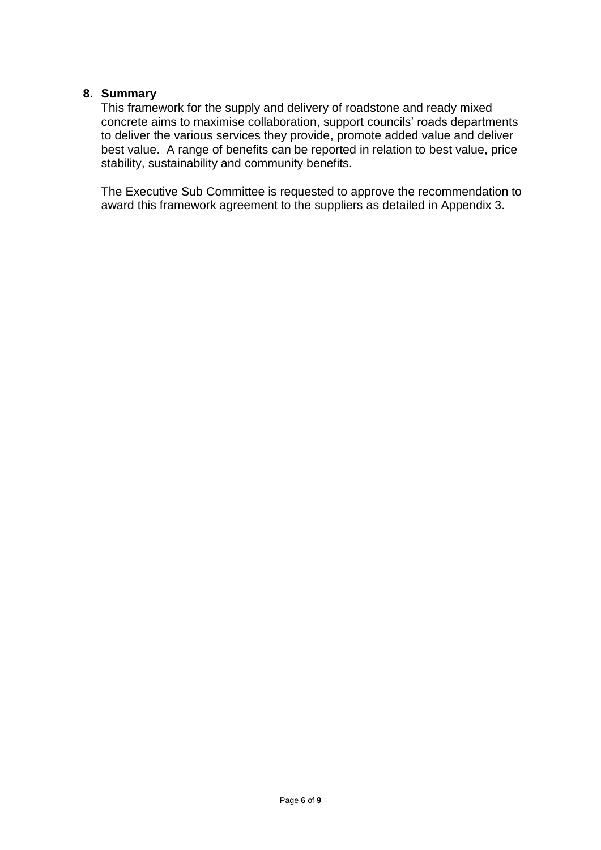#### **8. Summary**

This framework for the supply and delivery of roadstone and ready mixed concrete aims to maximise collaboration, support councils' roads departments to deliver the various services they provide, promote added value and deliver best value. A range of benefits can be reported in relation to best value, price stability, sustainability and community benefits.

The Executive Sub Committee is requested to approve the recommendation to award this framework agreement to the suppliers as detailed in Appendix 3.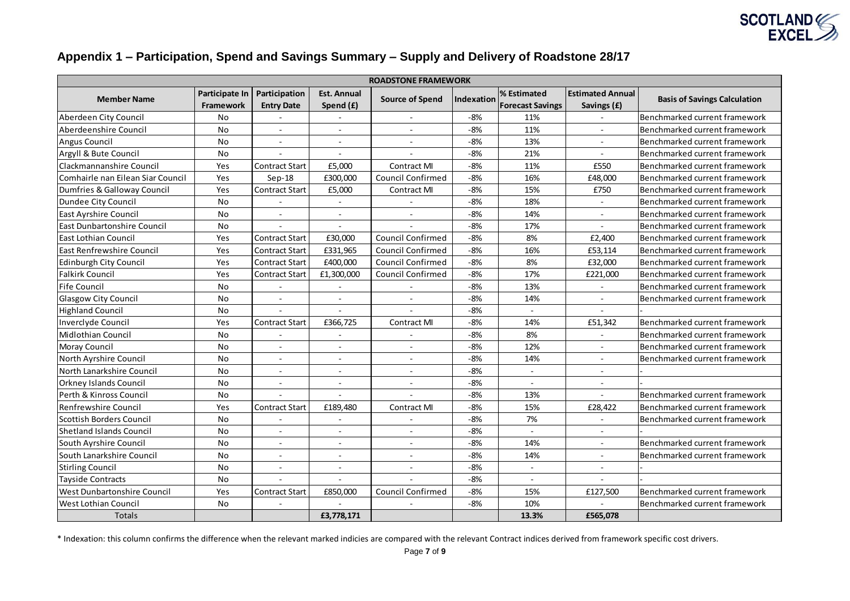

## **Appendix 1 – Participation, Spend and Savings Summary – Supply and Delivery of Roadstone 28/17**

|                                    |                                    |                                    |                                 | <b>ROADSTONE FRAMEWORK</b> |                   |                                        |                                        |                                     |
|------------------------------------|------------------------------------|------------------------------------|---------------------------------|----------------------------|-------------------|----------------------------------------|----------------------------------------|-------------------------------------|
| <b>Member Name</b>                 | Participate In<br><b>Framework</b> | Participation<br><b>Entry Date</b> | <b>Est. Annual</b><br>Spend (£) | <b>Source of Spend</b>     | <b>Indexation</b> | % Estimated<br><b>Forecast Savings</b> | <b>Estimated Annual</b><br>Savings (£) | <b>Basis of Savings Calculation</b> |
| Aberdeen City Council              | No.                                | ÷.                                 | $\sim$                          | $\sim$                     | -8%               | 11%                                    |                                        | Benchmarked current framework       |
| Aberdeenshire Council              | No                                 | $\sim$                             | $\sim$                          | $\sim$                     | $-8%$             | 11%                                    |                                        | Benchmarked current framework       |
| Angus Council                      | No                                 | $\mathbf{r}$                       | $\sim$                          | $\sim$                     | $-8%$             | 13%                                    |                                        | Benchmarked current framework       |
| Argyll & Bute Council              | No                                 | ÷.                                 | $\sim$                          | $\overline{\phantom{a}}$   | $-8%$             | 21%                                    | $\sim$                                 | Benchmarked current framework       |
| Clackmannanshire Council           | Yes                                | Contract Start                     | £5,000                          | <b>Contract MI</b>         | -8%               | 11%                                    | £550                                   | Benchmarked current framework       |
| Comhairle nan Eilean Siar Council  | Yes                                | $Sep-18$                           | £300,000                        | Council Confirmed          | $-8%$             | 16%                                    | £48,000                                | Benchmarked current framework       |
| Dumfries & Galloway Council        | Yes                                | <b>Contract Start</b>              | £5,000                          | <b>Contract MI</b>         | $-8%$             | 15%                                    | £750                                   | Benchmarked current framework       |
| Dundee City Council                | No                                 |                                    |                                 |                            | $-8%$             | 18%                                    |                                        | Benchmarked current framework       |
| East Ayrshire Council              | No                                 | $\sim$                             | $\sim$                          | $\sim$                     | $-8%$             | 14%                                    | $\sim$                                 | Benchmarked current framework       |
| <b>East Dunbartonshire Council</b> | No                                 | $\sim$                             | $\sim$                          | $\overline{a}$             | $-8%$             | 17%                                    | $\sim$                                 | Benchmarked current framework       |
| East Lothian Council               | Yes                                | <b>Contract Start</b>              | £30,000                         | <b>Council Confirmed</b>   | $-8%$             | 8%                                     | £2.400                                 | Benchmarked current framework       |
| <b>East Renfrewshire Council</b>   | Yes                                | Contract Start                     | £331,965                        | <b>Council Confirmed</b>   | $-8%$             | 16%                                    | £53,114                                | Benchmarked current framework       |
| Edinburgh City Council             | Yes                                | <b>Contract Start</b>              | £400,000                        | <b>Council Confirmed</b>   | $-8%$             | 8%                                     | £32,000                                | Benchmarked current framework       |
| Falkirk Council                    | Yes                                | Contract Start                     | £1,300,000                      | Council Confirmed          | $-8%$             | 17%                                    | £221,000                               | Benchmarked current framework       |
| <b>Fife Council</b>                | No                                 | $\blacksquare$                     | $\blacksquare$                  |                            | $-8%$             | 13%                                    | $\blacksquare$                         | Benchmarked current framework       |
| <b>Glasgow City Council</b>        | No                                 | $\blacksquare$                     | $\overline{\phantom{a}}$        | $\overline{\phantom{a}}$   | $-8%$             | 14%                                    | $\sim$                                 | Benchmarked current framework       |
| <b>Highland Council</b>            | No                                 | $\sim$                             | $\sim$                          |                            | -8%               | $\sim$                                 | $\sim$                                 |                                     |
| Inverclyde Council                 | Yes                                | <b>Contract Start</b>              | £366,725                        | <b>Contract MI</b>         | $-8%$             | 14%                                    | £51,342                                | Benchmarked current framework       |
| Midlothian Council                 | No                                 |                                    |                                 |                            | $-8%$             | 8%                                     |                                        | Benchmarked current framework       |
| Moray Council                      | No                                 | $\sim$                             | $\sim$                          | $\sim$                     | $-8%$             | 12%                                    | $\sim$                                 | Benchmarked current framework       |
| North Ayrshire Council             | No                                 | $\blacksquare$                     | $\sim$                          | $\sim$                     | $-8%$             | 14%                                    | $\sim$                                 | Benchmarked current framework       |
| North Lanarkshire Council          | No                                 | ÷,                                 |                                 |                            | $-8%$             |                                        |                                        |                                     |
| <b>Orkney Islands Council</b>      | No                                 | $\sim$                             | $\sim$                          | $\overline{\phantom{a}}$   | $-8%$             | $\sim$                                 | $\sim$                                 |                                     |
| Perth & Kinross Council            | No                                 |                                    |                                 |                            | $-8%$             | 13%                                    |                                        | Benchmarked current framework       |
| <b>Renfrewshire Council</b>        | Yes                                | <b>Contract Start</b>              | £189,480                        | <b>Contract MI</b>         | $-8%$             | 15%                                    | £28,422                                | Benchmarked current framework       |
| Scottish Borders Council           | No                                 | $\sim$                             | $\sim$                          | $\sim$                     | $-8%$             | 7%                                     | $\sim$                                 | Benchmarked current framework       |
| <b>Shetland Islands Council</b>    | No                                 | $\blacksquare$                     | $\sim$                          | $\sim$                     | -8%               | $\sim$                                 | $\sim$                                 |                                     |
| South Ayrshire Council             | No                                 | ÷.                                 | $\overline{\phantom{a}}$        | ٠                          | $-8%$             | 14%                                    | $\sim$                                 | Benchmarked current framework       |
| South Lanarkshire Council          | No                                 | $\overline{a}$                     | $\sim$                          | $\sim$                     | $-8%$             | 14%                                    | $\sim$                                 | Benchmarked current framework       |
| <b>Stirling Council</b>            | No                                 | $\sim$                             | $\sim$                          | $\sim$                     | $-8%$             | $\sim$                                 | $\sim$                                 |                                     |
| <b>Tayside Contracts</b>           | No                                 | $\blacksquare$                     | $\sim$                          | $\sim$                     | $-8%$             | $\sim$                                 | $\sim$                                 |                                     |
| West Dunbartonshire Council        | Yes                                | <b>Contract Start</b>              | £850,000                        | Council Confirmed          | $-8%$             | 15%                                    | £127,500                               | Benchmarked current framework       |
| <b>West Lothian Council</b>        | No                                 | $\sim$                             | $\overline{a}$                  |                            | $-8%$             | 10%                                    | $\sim$                                 | Benchmarked current framework       |
| <b>Totals</b>                      |                                    |                                    | £3,778,171                      |                            |                   | 13.3%                                  | £565,078                               |                                     |

\* Indexation: this column confirms the difference when the relevant marked indicies are compared with the relevant Contract indices derived from framework specific cost drivers.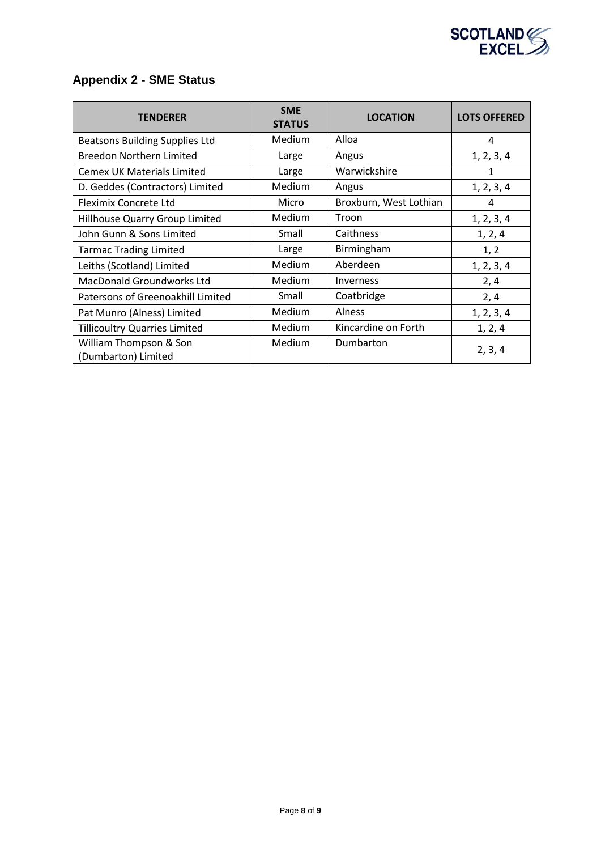

# **Appendix 2 - SME Status**

| <b>TENDERER</b>                               | <b>SME</b><br><b>STATUS</b> | <b>LOCATION</b>        | <b>LOTS OFFERED</b> |
|-----------------------------------------------|-----------------------------|------------------------|---------------------|
| <b>Beatsons Building Supplies Ltd</b>         | Medium                      | Alloa                  | 4                   |
| <b>Breedon Northern Limited</b>               | Large                       | Angus                  | 1, 2, 3, 4          |
| <b>Cemex UK Materials Limited</b>             | Large                       | Warwickshire           | 1                   |
| D. Geddes (Contractors) Limited               | Medium                      | Angus                  | 1, 2, 3, 4          |
| Fleximix Concrete Ltd                         | Micro                       | Broxburn, West Lothian | 4                   |
| Hillhouse Quarry Group Limited                | Medium                      | Troon                  | 1, 2, 3, 4          |
| John Gunn & Sons Limited                      | Small                       | Caithness              | 1, 2, 4             |
| <b>Tarmac Trading Limited</b>                 | Large                       | Birmingham             | 1, 2                |
| Leiths (Scotland) Limited                     | Medium                      | Aberdeen               | 1, 2, 3, 4          |
| <b>MacDonald Groundworks Ltd</b>              | Medium                      | Inverness              | 2,4                 |
| Patersons of Greenoakhill Limited             | Small                       | Coatbridge             | 2, 4                |
| Pat Munro (Alness) Limited                    | Medium                      | Alness                 | 1, 2, 3, 4          |
| <b>Tillicoultry Quarries Limited</b>          | Medium                      | Kincardine on Forth    | 1, 2, 4             |
| William Thompson & Son<br>(Dumbarton) Limited | Medium                      | Dumbarton              | 2, 3, 4             |